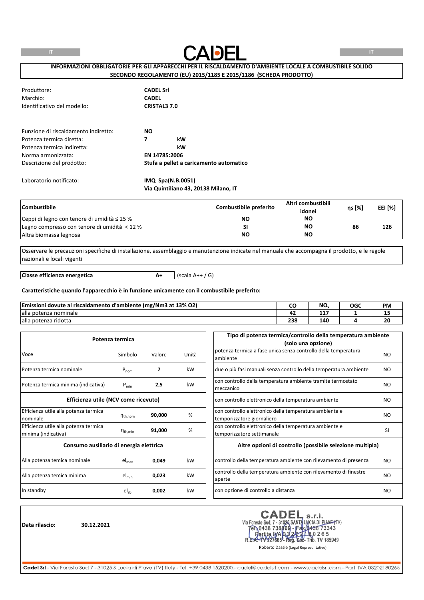

# **INFORMAZIONI OBBLIGATORIE PER GLI APPARECCHI PER IL RISCALDAMENTO D'AMBIENTE LOCALE A COMBUSTIBILE SOLIDO SECONDO REGOLAMENTO (EU) 2015/1185 E 2015/1186 (SCHEDA PRODOTTO)**

| Produttore:<br>Marchio:<br>Identificativo del modello: | <b>CADEL Srl</b><br><b>CADEL</b><br><b>CRISTAL3 7.0</b> |
|--------------------------------------------------------|---------------------------------------------------------|
| Funzione di riscaldamento indiretto:                   | <b>NO</b>                                               |
| Potenza termica diretta:                               | 7<br>kW                                                 |
| Potenza termica indiretta:                             | kW                                                      |
| Norma armonizzata:                                     | EN 14785:2006                                           |
| Descrizione del prodotto:                              | Stufa a pellet a caricamento automatico                 |
| Laboratorio notificato:                                | $IMQ$ Spa $(N.B.0051)$                                  |

**Via Quintiliano 43, 20138 Milano, IT**

| <b>Combustibile</b>                              | Combustibile preferito | Altri combustibili<br>idonei | ns [%] | EEI [%] |
|--------------------------------------------------|------------------------|------------------------------|--------|---------|
| Ceppi di legno con tenore di umidità $\leq$ 25 % | NΟ                     | NΟ                           |        |         |
| Legno compresso con tenore di umidità < 12 %     |                        | NΟ                           | 86     | 126     |
| Altra biomassa legnosa                           | <b>NO</b>              | NΟ                           |        |         |

Osservare le precauzioni specifiche di installazione, assemblaggio e manutenzione indicate nel manuale che accompagna il prodotto, e le regole nazionali e locali vigenti

**A+** (scala A++ / G) **Classe efficienza energetica**

#### **Caratteristiche quando l'apparecchio è in funzione unicamente con il combustibile preferito:**

| Emissioni dovute al riscaldamento d'ambiente (mg/Nm3 at 13% O2) | ີ          | NO.     | OGC | <b>PM</b> |
|-----------------------------------------------------------------|------------|---------|-----|-----------|
| alla potenza nominale                                           | --         | --<br>. |     | --        |
| alla potenza ridotta                                            | ววด<br>23C | 140     |     | ΖU        |

|                                                              | Potenza termica     |        |       | Tipo di potenza termica/controllo della temperatura ambiente<br>(solo una opzione)   |                |
|--------------------------------------------------------------|---------------------|--------|-------|--------------------------------------------------------------------------------------|----------------|
| Voce                                                         | Simbolo             | Valore | Unità | potenza termica a fase unica senza controllo della temperatura<br>ambiente           | NO.            |
| Potenza termica nominale                                     | $P_{nom}$           |        | kW    | due o più fasi manuali senza controllo della temperatura ambiente                    | NO.            |
| Potenza termica minima (indicativa)                          | $P_{min}$           | 2,5    | kW    | con controllo della temperatura ambiente tramite termostato<br>meccanico             | NO.            |
| Efficienza utile (NCV come ricevuto)                         |                     |        |       | con controllo elettronico della temperatura ambiente                                 | N <sub>O</sub> |
| Efficienza utile alla potenza termica<br>nominale            | $n_{th,nom}$        | 90,000 | %     | con controllo elettronico della temperatura ambiente e<br>temporizzatore giornaliero | NO.            |
| Efficienza utile alla potenza termica<br>minima (indicativa) | $n_{\text{th,min}}$ | 91,000 | %     | con controllo elettronico della temperatura ambiente e<br>temporizzatore settimanale | <b>SI</b>      |
| Consumo ausiliario di energia elettrica                      |                     |        |       | Altre opzioni di controllo (possibile selezione multipla)                            |                |
| Alla potenza temica nominale                                 | $el_{\text{max}}$   | 0,049  | kW    | controllo della temperatura ambiente con rilevamento di presenza                     | NO.            |
| Alla potenza temica minima                                   | $el_{min}$          | 0,023  | kW    | controllo della temperatura ambiente con rilevamento di finestre<br>aperte           | NO.            |
| In standby                                                   | $el_{sb}$           | 0,002  | kW    | con opzione di controllo a distanza                                                  | NO.            |

**Data rilascio: 30.12.2021**

CADEL S.r.I.<br>Via Foresto Sud, 7 - 31026 SANTA LUCIA DI PIAVE (TV)<br>FR.0438 738669 - Fax (0438 73343<br>R.E.A.- 1V227665 - Reg. 602- Trib. TV 185949<br>Roberto Dassie (Legal Representative) **CADEL**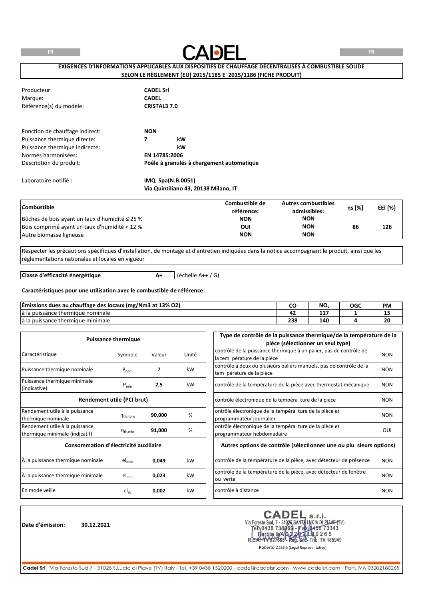**FR**



**FR**

# **EXIGENCES D'INFORMATIONS APPLICABLES AUX DISPOSITIFS DE CHAUFFAGE DÉCENTRALISÉS À COMBUSTIBLE SOLIDE SELON LE RÈGLEMENT (EU) 2015/1185 E 2015/1186 (FICHE PRODUIT)**

| Producteur:<br>Margue:<br>Référence(s) du modèle:                                                                                                   | <b>CADEL Srl</b><br><b>CADEL</b><br><b>CRISTAL3 7.0</b>                                   |
|-----------------------------------------------------------------------------------------------------------------------------------------------------|-------------------------------------------------------------------------------------------|
| Fonction de chauffage indirect:<br>Puissance thermique directe:<br>Puissance thermique indirecte:<br>Normes harmonisées:<br>Description du produit: | <b>NON</b><br>kW<br>7<br>kW<br>EN 14785:2006<br>Poêle à granulés à chargement automatique |
| Laboratoire notifié :                                                                                                                               | IMQ Spa(N.B.0051)                                                                         |

**Via Quintiliano 43, 20138 Milano, IT**

| <b>Combustible</b>                                  | Combustible de<br>référence: | <b>Autres combustibles</b><br>admissibles: | ns [%] | EEI [%] |
|-----------------------------------------------------|------------------------------|--------------------------------------------|--------|---------|
| Bûches de bois ayant un taux d'humidité $\leq$ 25 % | <b>NON</b>                   | <b>NON</b>                                 |        |         |
| Bois comprimé ayant un taux d'humidité < 12 %       | OUI                          | <b>NON</b>                                 | 86     | 126     |
| Autre biomasse ligneuse                             | <b>NON</b>                   | <b>NON</b>                                 |        |         |

Respecter les précautions spécifiques d'installation, de montage et d'entretien indiquées dans la notice accompagnant le produit, ainsi que les réglementations nationales et locales en vigueur

**Classe d'efficacité énergétique**

**A+** (échelle A++ / G)

#### **Caractéristiques pour une utilisation avec le combustible de référence:**

| (mg/Nm3 at 13% O2)<br>Emissions dues au chauffage des locaux ( | w   | NO.   | <b>OGC</b> | <b>PM</b> |
|----------------------------------------------------------------|-----|-------|------------|-----------|
| e thermique nominale<br>a la puissance :                       | . . | .<br> |            | --        |
| e thermique minimale<br>a puissance <sup>.</sup><br>d Id       | 238 | 140   |            | 20        |

|                                       | <b>Puissance thermique</b> |        |       | Type de contrôle de la puissance thermique/de la température de la            |            |
|---------------------------------------|----------------------------|--------|-------|-------------------------------------------------------------------------------|------------|
|                                       |                            |        |       | pièce (sélectionner un seul type)                                             |            |
| Caractéristique                       | Symbole                    |        | Unité | contrôle de la puissance thermique à un palier, pas de contrôle de            | <b>NON</b> |
|                                       |                            | Valeur |       | la tem pérature de la pièce                                                   |            |
| Puissance thermique nominale          |                            |        | kW    | contrôle à deux ou plusieurs paliers manuels, pas de contrôle de la           | <b>NON</b> |
|                                       | $P_{nom}$                  |        |       | tem pérature de la pièce                                                      |            |
| Puissance thermique minimale          | $P_{min}$                  | 2,5    | kW    | contrôle de la température de la pièce avec thermostat mécanique              | <b>NON</b> |
| (indicative)                          |                            |        |       |                                                                               |            |
|                                       | Rendement utile (PCI brut) |        |       | contrôle électronique de la tempéra ture de la pièce                          | <b>NON</b> |
| Rendement utile à la puissance        |                            |        |       | ontrôle électronique de la tempéra ture de la pièce et                        |            |
| thermique nominale                    | $n_{\text{th}$ , nom       | 90,000 | %     | programmateur journalier                                                      | <b>NON</b> |
| Rendement utile à la puissance        |                            |        |       | ontrôle électronique de la tempéra ture de la pièce et                        |            |
| thermique minimale (indicatif)        | $n_{th,min}$               | 91,000 | %     | programmateur hebdomadaire                                                    | OUI        |
| Consommation d'électricité auxiliaire |                            |        |       | Autres options de contrôle (sélectionner une ou plu sieurs options)           |            |
| À la puissance thermique nominale     | el <sub>max</sub>          | 0,049  | kW    | contrôle de la température de la pièce, avec détecteur de présence            | <b>NON</b> |
| À la puissance thermique minimale     | $el_{min}$                 | 0,023  | kW    | contrôle de la température de la pièce, avec détecteur de fenêtre<br>ou verte | <b>NON</b> |
|                                       |                            |        |       |                                                                               |            |
| En mode veille                        | $el_{sb}$                  | 0,002  | kW    | contrôle à distance                                                           | <b>NON</b> |

**Date d'émission: 30.12.2021**

Via Foresto Sud, 7 - 31026 SANTA LUCIA DI PIAVE (TV)<br>
TEN 0438 738669 - Fax 0438 73343<br>
Partita IMA 0.3 20 20 20 26 5<br>
REA-1V227665 - Rea-Trib. TV 185949 **CADEI** 

Roberto Dassie (Legal Representative)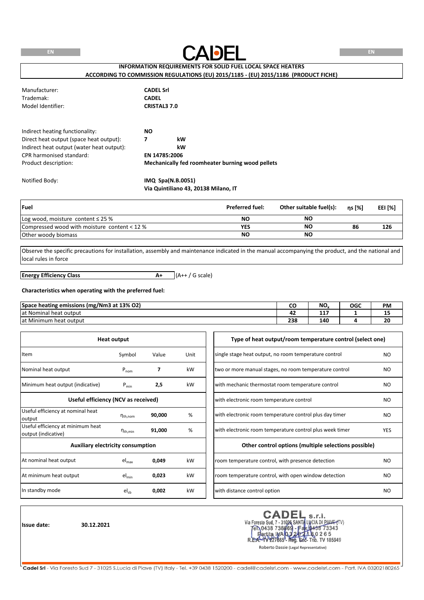

# **INFORMATION REQUIREMENTS FOR SOLID FUEL LOCAL SPACE HEATERS ACCORDING TO COMMISSION REGULATIONS (EU) 2015/1185 - (EU) 2015/1186 (PRODUCT FICHE)**

| Manufacturer:<br>Trademak:<br>Model Identifier:                                                                                                                             | <b>CADEL Srl</b><br><b>CADEL</b><br><b>CRISTAL3 7.0</b> |                                                                               |
|-----------------------------------------------------------------------------------------------------------------------------------------------------------------------------|---------------------------------------------------------|-------------------------------------------------------------------------------|
| Indirect heating functionality:<br>Direct heat output (space heat output):<br>Indirect heat output (water heat output):<br>CPR harmonised standard:<br>Product description: | <b>NO</b><br>7                                          | kW<br>kW<br>EN 14785:2006<br>Mechanically fed roomheater burning wood pellets |

Notified Body: **IMQ Spa(N.B.0051) Via Quintiliano 43, 20138 Milano, IT**

| <b>Fuel</b>                                  | <b>Preferred fuel:</b> | Other suitable fuel(s): | ns [%] | EEI [%] |
|----------------------------------------------|------------------------|-------------------------|--------|---------|
| Log wood, moisture content $\leq$ 25 %       | NΟ                     | NO                      |        |         |
| Compressed wood with moisture content < 12 % | YES                    | NC                      | 86     | 126     |
| Other woody biomass                          | NΟ                     | NO                      |        |         |

Observe the specific precautions for installation, assembly and maintenance indicated in the manual accompanying the product, and the national and local rules in force

**A+** (A++ / G scale) **Energy Efficiency Class**

#### **Characteristics when operating with the preferred fuel:**

| Space heating emissions (mg/Nm3 at 13% O2) | ີ          | NO. | OGC | <b>PM</b> |
|--------------------------------------------|------------|-----|-----|-----------|
| at Nominal heat output                     | - -<br>. . | --- |     |           |
| at Minimum<br>heat output                  | 238        | 140 |     | 20        |

|                                                          | <b>Heat output</b>            |        |      | Type of heat output/room temperature control (select one) |                |
|----------------------------------------------------------|-------------------------------|--------|------|-----------------------------------------------------------|----------------|
| Item                                                     | Symbol                        | Value  | Unit | single stage heat output, no room temperature control     | NO.            |
| Nominal heat output                                      | $P_{nom}$                     | 7      | kW   | two or more manual stages, no room temperature control    | N <sub>O</sub> |
| Minimum heat output (indicative)                         | $P_{min}$                     | 2,5    | kW   | with mechanic thermostat room temperature control         | NO.            |
| Useful efficiency (NCV as received)                      |                               |        |      | with electronic room temperature control                  | NO.            |
| Useful efficiency at nominal heat<br>output              | $\eta_{\text{th},\text{nom}}$ | 90,000 | %    | with electronic room temperature control plus day timer   | NO.            |
| Useful efficiency at minimum heat<br>output (indicative) | $n_{\text{th,min}}$           | 91,000 | %    | with electronic room temperature control plus week timer  | <b>YES</b>     |
| <b>Auxiliary electricity consumption</b>                 |                               |        |      | Other control options (multiple selections possible)      |                |
| At nominal heat output                                   | $el_{max}$                    | 0,049  | kW   | room temperature control, with presence detection         | NO.            |
| At minimum heat output                                   | $el_{min}$                    | 0,023  | kW   | room temperature control, with open window detection      | NO             |
| In standby mode                                          | $el_{sb}$                     | 0,002  | kW   | with distance control option                              | NO.            |

**Issue date: 30.12.2021**

**CADEI** s.r.l. Via Foresto Sud, 7 - 31026 SANTA LUCIA DI PIANE (TV)<br>
Ten 0438 738669 - Fax (0438 73343<br>
Partita INA 032021 Leo 265<br>
REA-4V227665 - Reg. 566- Trib. TV 185949

Roberto Dassie (Legal Representative)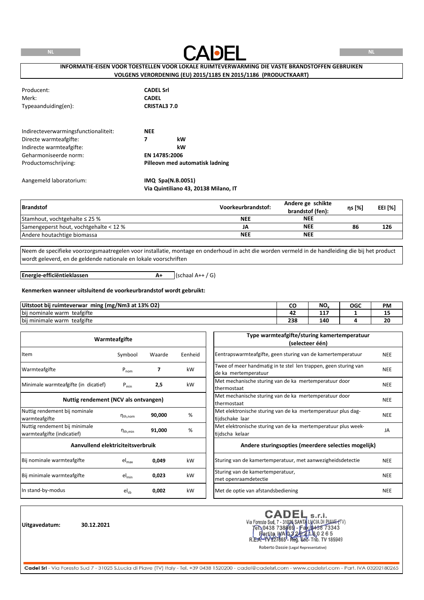

# **INFORMATIE-EISEN VOOR TOESTELLEN VOOR LOKALE RUIMTEVERWARMING DIE VASTE BRANDSTOFFEN GEBRUIKEN VOLGENS VERORDENING (EU) 2015/1185 EN 2015/1186 (PRODUCTKAART)**

| Producent:<br>Merk:<br>Typeaanduiding(en): | <b>CADEL Srl</b><br><b>CADEL</b><br><b>CRISTAL3 7.0</b> |
|--------------------------------------------|---------------------------------------------------------|
| Indirecteverwarmingsfunctionaliteit:       | <b>NEE</b>                                              |
| Directe warmteafgifte:                     | 7<br>kW                                                 |
| Indirecte warmteafgifte:                   | kW                                                      |
| Geharmoniseerde norm:                      | EN 14785:2006                                           |
| Productomschrijving:                       | Pilleovn med automatisk ladning                         |
| Aangemeld laboratorium:                    | IMQ Spa(N.B.0051)                                       |

**Via Quintiliano 43, 20138 Milano, IT**

| <b>Brandstof</b>                       | Voorkeurbrandstof: | Andere ge schikte<br>brandstof (fen): | ηs [%] | EEI [%] |
|----------------------------------------|--------------------|---------------------------------------|--------|---------|
| Stamhout, vochtgehalte $\leq$ 25 %     | <b>NEE</b>         | <b>NEE</b>                            |        |         |
| Samengeperst hout, vochtgehalte < 12 % | JA                 | <b>NEE</b>                            | 86     | 126     |
| Andere houtachtige biomassa            | <b>NEE</b>         | <b>NEE</b>                            |        |         |

Neem de specifieke voorzorgsmaatregelen voor installatie, montage en onderhoud in acht die worden vermeld in de handleiding die bij het product wordt geleverd, en de geldende nationale en lokale voorschriften

**Energie-efficiëntieklassen**

 $A+$  (schaal  $A++$  / G)

#### **Kenmerken wanneer uitsluitend de voorkeurbrandstof wordt gebruikt:**

| Uitstoot bij ruimteverwar<br>ming (mg/Nm3 at 13% O2) |     | <b>NIC</b><br>שיו | OGC | PM                             |
|------------------------------------------------------|-----|-------------------|-----|--------------------------------|
| teafgifte<br>bij nominale warm                       |     | $\sim$<br>.       |     | --                             |
| teafgifte<br>bij minimale warm                       | 238 | 140               |     | $\overline{\phantom{a}}$<br>ΖU |

|                                                             | Warmteafgifte          |        |         | Type warmteafgifte/sturing kamertemperatuur<br>(selecteer één)                          |            |
|-------------------------------------------------------------|------------------------|--------|---------|-----------------------------------------------------------------------------------------|------------|
| Item                                                        | Symbool                | Waarde | Eenheid | Eentrapswarmteafgifte, geen sturing van de kamertemperatuur                             | <b>NEE</b> |
| Warmteafgifte                                               | $P_{nom}$              | 7      | kW      | Twee of meer handmatig in te stel len trappen, geen sturing van<br>de ka mertemperatuur | <b>NEE</b> |
| Minimale warmteafgifte (in dicatief)                        | $P_{min}$              | 2,5    | kW      | Met mechanische sturing van de ka mertemperatuur door<br>thermostaat                    | <b>NEE</b> |
| Nuttig rendement (NCV als ontvangen)                        |                        |        |         | Met mechanische sturing van de ka mertemperatuur door<br>thermostaat                    | <b>NEE</b> |
| Nuttig rendement bij nominale<br>warmteafgifte              | $n_{\text{th}$ , nom   | 90,000 | %       | Met elektronische sturing van de ka mertemperatuur plus dag-<br>tijdschake laar         | <b>NEE</b> |
| Nuttig rendement bij minimale<br>warmteafgifte (indicatief) | $\eta_{\text{th,min}}$ | 91,000 | %       | Met elektronische sturing van de ka mertemperatuur plus week-<br>tijdscha kelaar        | JA         |
| Aanvullend elektriciteitsverbruik                           |                        |        |         | Andere sturingsopties (meerdere selecties mogelijk)                                     |            |
| Bij nominale warmteafgifte                                  | $el_{max}$             | 0,049  | kW      | Sturing van de kamertemperatuur, met aanwezigheidsdetectie                              | <b>NEE</b> |
| Bij minimale warmteafgifte                                  | $el_{min}$             | 0,023  | kW      | Sturing van de kamertemperatuur,<br>met openraamdetectie                                | <b>NEE</b> |
| In stand-by-modus                                           | $el_{sb}$              | 0,002  | kW      | Met de optie van afstandsbediening                                                      | <b>NEE</b> |

**Uitgavedatum: 30.12.2021**

CADEL s.r.l.<br>Via Foresto Sud, 7 - 31026 SANTA LUCIA DI PIAVE (TV)<br>FR.0438 738669 - Fax (0438 73343<br>R.E.A.- W227665 - Reg. 506- Trib. TV 185949<br>Roberto Dassie (Legal Representative) **CADEL**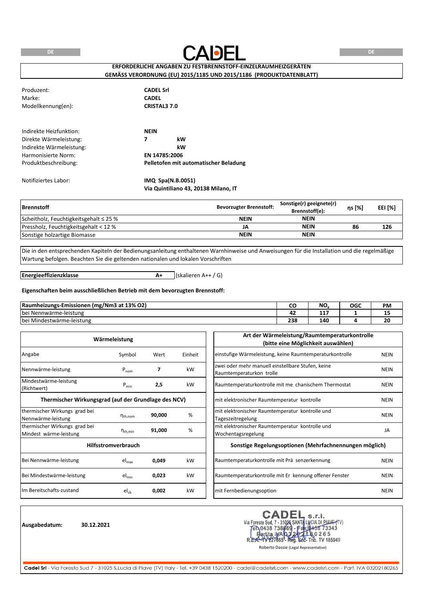**DE**



**DE**

# **ERFORDERLICHE ANGABEN ZU FESTBRENNSTOFF-EINZELRAUMHEIZGERÄTEN GEMÄSS VERORDNUNG (EU) 2015/1185 UND 2015/1186 (PRODUKTDATENBLATT)**

| Produzent:<br>Marke:<br>Modellkennung(en):                                                           | <b>CADEL Srl</b><br><b>CADEL</b><br><b>CRISTAL3 7.0</b>   |
|------------------------------------------------------------------------------------------------------|-----------------------------------------------------------|
| Indirekte Heizfunktion:<br>Direkte Wärmeleistung:<br>Indirekte Wärmeleistung:<br>Harmonisierte Norm: | <b>NEIN</b><br>7<br>kW<br>kW<br>EN 14785:2006             |
| Produktbeschreibung:                                                                                 | Pelletofen mit automatischer Beladung                     |
| Notifiziertes Labor:                                                                                 | IMQ Spa(N.B.0051)<br>Via Quintiliano 43, 20138 Milano, IT |

| <b>Brennstoff</b>                           | <b>Bevorzugter Brennstoff:</b> | Sonstige(r) geeignete(r)<br>Brennstoff(e): | ns [%] | <b>EEI [%]</b> |
|---------------------------------------------|--------------------------------|--------------------------------------------|--------|----------------|
| Scheitholz, Feuchtigkeitsgehalt $\leq$ 25 % | <b>NEIN</b>                    | <b>NEIN</b>                                |        |                |
| Pressholz, Feuchtigkeitsgehalt < 12 %       | JA                             | <b>NEIN</b>                                | 86     | 126            |
| Sonstige holzartige Biomasse                | <b>NEIN</b>                    | <b>NEIN</b>                                |        |                |

Die in den entsprechenden Kapiteln der Bedienungsanleitung enthaltenen Warnhinweise und Anweisungen für die Installation und die regelmäßige Wartung befolgen. Beachten Sie die geltenden nationalen und lokalen Vorschriften

**Energieeffizienzklasse**

**A+** (skalieren A++ / G)

#### **Eigenschaften beim ausschließlichen Betrieb mit dem bevorzugten Brennstoff:**

| (mg/Nm3 at 13% O2)<br>Raumheizungs-Emissionen |            | <b>N<sub>C</sub></b><br>טיי | OGC | PM |
|-----------------------------------------------|------------|-----------------------------|-----|----|
| <b>bei</b><br>i Nennwärme-leistung            | . .        | ---<br>.                    |     | -- |
| i Mindestwärme-leistung<br>bei                | 220<br>250 | 140                         |     | δU |

|                                                         | Wärmeleistung              |        |         | Art der Wärmeleistung/Raumtemperaturkontrolle<br>(bitte eine Möglichkeit auswählen) |             |
|---------------------------------------------------------|----------------------------|--------|---------|-------------------------------------------------------------------------------------|-------------|
| Angabe                                                  | Symbol                     | Wert   | Einheit | einstufige Wärmeleistung, keine Raumtemperaturkontrolle                             | <b>NEIN</b> |
| Nennwärme-leistung                                      | $P_{nom}$                  | 7      | kW      | zwei oder mehr manuell einstellbare Stufen, keine<br>Raumtemperaturkon trolle       | <b>NEIN</b> |
| Mindestwärme-leistung<br>(Richtwert)                    | $P_{min}$                  | 2,5    | kW      | Raumtemperaturkontrolle mit me chanischem Thermostat                                | <b>NEIN</b> |
| Thermischer Wirkungsgrad (auf der Grundlage des NCV)    |                            |        |         | mit elektronischer Raumtemperatur kontrolle                                         | <b>NEIN</b> |
| thermischer Wirkungs grad bei<br>Nennwärme-leistung     | $n_{th,nom}$               | 90,000 | %       | mit elektronischer Raumtemperatur kontrolle und<br>Tageszeitregelung                | <b>NEIN</b> |
| thermischer Wirkungs grad bei<br>Mindest wärme-leistung | $\eta_{\text{th,min}}$     | 91,000 | %       | mit elektronischer Raumtemperatur kontrolle und<br>Wochentagsregelung               | JA          |
|                                                         | <b>Hilfsstromverbrauch</b> |        |         | Sonstige Regelungsoptionen (Mehrfachnennungen möglich)                              |             |
| Bei Nennwärme-leistung                                  | $el_{max}$                 | 0,049  | kW      | Raumtemperaturkontrolle mit Prä senzerkennung                                       | <b>NEIN</b> |
| Bei Mindestwärme-leistung                               | $el_{min}$                 | 0,023  | kW      | Raumtemperaturkontrolle mit Er kennung offener Fenster                              | <b>NEIN</b> |
| Im Bereitschafts-zustand                                | $el_{sb}$                  | 0,002  | kW      | mit Fernbedienungsoption                                                            | <b>NEIN</b> |

**Ausgabedatum: 30.12.2021**

CADEL s.r.l.<br>Via Foresto Sud, 7 - 31026 SANTA LUCIA DI PIAVE (TV)<br>FRIMA 13869 - Fax (1438 73343<br>REA-YV27665- Reg. 668- Trib. TV 185949 **CADEI** 

Roberto Dassie (Legal Representative)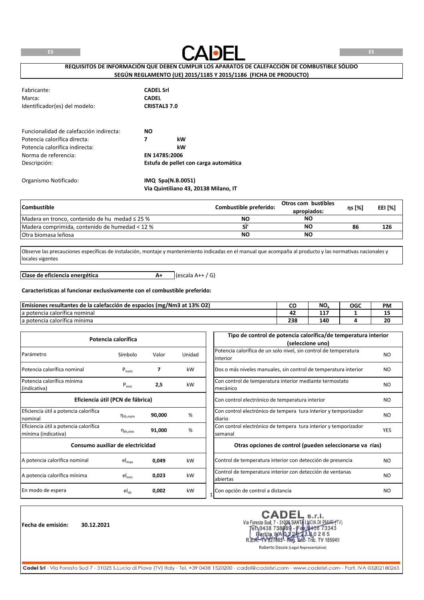

**REQUISITOS DE INFORMACIÓN QUE DEBEN CUMPLIR LOS APARATOS DE CALEFACCIÓN DE COMBUSTIBLE SÓLIDO SEGÚN REGLAMENTO (UE) 2015/1185 Y 2015/1186 (FICHA DE PRODUCTO)**

| Fabricante:<br>Marca:<br>Identificador(es) del modelo: | <b>CADEL Srl</b><br><b>CADEL</b><br><b>CRISTAL3 7.0</b> |
|--------------------------------------------------------|---------------------------------------------------------|
| Funcionalidad de calefacción indirecta:                | NO.                                                     |
| Potencia calorífica directa:                           | 7<br>kW                                                 |
| Potencia calorífica indirecta:                         | kW                                                      |
| Norma de referencia:                                   | EN 14785:2006                                           |
| Descripción:                                           | Estufa de pellet con carga automática                   |
| Organismo Notificado:                                  | IMQ Spa(N.B.0051)                                       |

**Via Quintiliano 43, 20138 Milano, IT**

| <b>Combustible</b>                                  | Combustible preferido: | Otros com bustibles<br>apropiados: | ns [%] | <b>EEI [%]</b> |
|-----------------------------------------------------|------------------------|------------------------------------|--------|----------------|
| Madera en tronco, contenido de hu medad $\leq$ 25 % | NΟ                     | NO                                 |        |                |
| Madera comprimida, contenido de humedad < 12 %      |                        | NC                                 | 86     | 126            |
| <b>Otra biomasa leñosa</b>                          | NΟ                     | NO                                 |        |                |

Observe las precauciones específicas de instalación, montaje y mantenimiento indicadas en el manual que acompaña al producto y las normativas nacionales y locales vigentes

**A+** (escala A++ / G) **Clase de eficiencia energética**

#### **Características al funcionar exclusivamente con el combustible preferido:**

| Emisiones resultantes de la calefacción de espacios (mg/Nm3 at 13% O2) |     | NO.           | OGC | <b>PM</b> |
|------------------------------------------------------------------------|-----|---------------|-----|-----------|
| $\overline{\phantom{a}}$<br>la potencia calorífica nominal             | . . | .<br><u>.</u> |     | --        |
| $\overline{\phantom{a}}$<br>la potencia calorífica mínima              | 238 | 140           |     | 20        |

|                                                              | Potencia calorífica              |        |        | Tipo de control de potencia calorífica/de temperatura interior<br>(seleccione uno) |                |
|--------------------------------------------------------------|----------------------------------|--------|--------|------------------------------------------------------------------------------------|----------------|
| Parámetro                                                    | Símbolo                          | Valor  | Unidad | Potencia calorífica de un solo nivel, sin control de temperatura<br>linterior      | N <sub>O</sub> |
| Potencia calorífica nominal                                  | $P_{nom}$                        | 7      | kW     | Dos o más niveles manuales, sin control de temperatura interior                    | NO.            |
| Potencia calorífica mínima<br>(indicativa)                   | $P_{min}$                        | 2,5    | kW     | Con control de temperatura interior mediante termostato<br>mecánico                | NO.            |
|                                                              | Eficiencia útil (PCN de fábrica) |        |        | Con control electrónico de temperatura interior                                    | N <sub>O</sub> |
| Eficiencia útil a potencia calorífica<br>nominal             | $n_{\text{th}$ , nom             | 90,000 | %      | Con control electrónico de tempera tura interior y temporizador<br>diario          | NO.            |
| Eficiencia útil a potencia calorífica<br>mínima (indicativa) | $n_{\text{th,min}}$              | 91,000 | %      | Con control electrónico de tempera tura interior y temporizador<br>semanal         | <b>YES</b>     |
| Consumo auxiliar de electricidad                             |                                  |        |        | Otras opciones de control (pueden seleccionarse va rias)                           |                |
| A potencia calorífica nominal                                | $el_{max}$                       | 0,049  | kW     | Control de temperatura interior con detección de presencia                         | NO.            |
| A potencia calorífica mínima                                 | $el_{min}$                       | 0,023  | kW     | Control de temperatura interior con detección de ventanas<br>abiertas              | N <sub>O</sub> |
| En modo de espera                                            | $el_{sb}$                        | 0,002  | kW     | Con opción de control a distancia                                                  | NO.            |

**Fecha de emisión: 30.12.2021**

CADEI s.r.l. Via Foresto Sud, 7 - 31026 SANTA LUCIA DI PIAVE (TV)<br>Tel 0438 738869 - Fax 0438 73343 ta IWA 0.3 20 1 h 8.0 2 6 5<br>1227665 - Reg. Soc- Trib. TV 185949 artita IMA 03  $R.E$ 

Roberto Dassie (Legal Representative)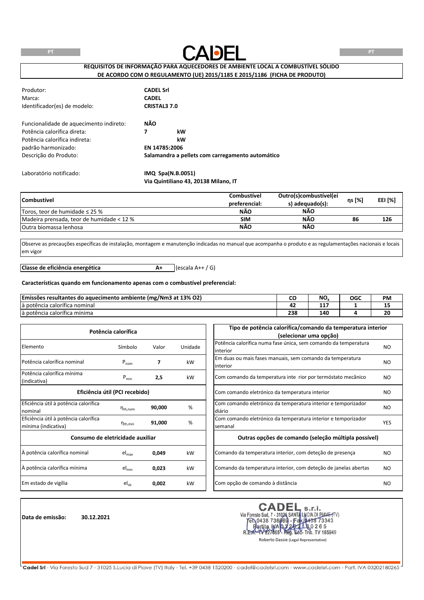

**REQUISITOS DE INFORMAÇÃO PARA AQUECEDORES DE AMBIENTE LOCAL A COMBUSTÍVEL SÓLIDO DE ACORDO COM O REGULAMENTO (UE) 2015/1185 E 2015/1186 (FICHA DE PRODUTO)**

| Produtor:<br>Marca:<br>Identificador(es) de modelo: | <b>CADEL Srl</b><br><b>CADEL</b><br><b>CRISTAL3 7.0</b> |                                                  |  |
|-----------------------------------------------------|---------------------------------------------------------|--------------------------------------------------|--|
| Funcionalidade de aquecimento indireto:             | NÃO                                                     |                                                  |  |
| Potência calorífica direta:                         | 7                                                       | kW                                               |  |
| Potência calorífica indireta:                       |                                                         | kW                                               |  |
| padrão harmonizado:                                 |                                                         | EN 14785:2006                                    |  |
| Descrição do Produto:                               |                                                         | Salamandra a pellets com carregamento automático |  |
| Laboratório notificado:                             |                                                         | IMQ Spa(N.B.0051)                                |  |
|                                                     |                                                         | Via Quintiliano 43, 20138 Milano, IT             |  |

| <b>Combustivel</b>                        | Outro(s)combustível(ei<br><b>Combustivel</b> |                 | ηs [%] | EEI [%] |
|-------------------------------------------|----------------------------------------------|-----------------|--------|---------|
|                                           | preferencial:                                | s) adequado(s): |        |         |
| Toros, teor de humidade $\leq$ 25 %       | <b>NÃO</b>                                   | NÃO             |        |         |
| Madeira prensada, teor de humidade < 12 % | <b>SIM</b>                                   | <b>NÃO</b>      | 86     | 126     |
| <b>Outra biomassa lenhosa</b>             | NÃO                                          | <b>NÃO</b>      |        |         |

Observe as precauções específicas de instalação, montagem e manutenção indicadas no manual que acompanha o produto e as regulamentações nacionais e locais em vigor

**A+** (escala A++ / G) **Classe de eficiência energética**

#### **Características quando em funcionamento apenas com o combustível preferencial:**

| <b>Emissões resultantes</b><br>o aquecimento ambiente (mg/Nm3 at 13% O2)<br>d٥ |            | NO.      | OGC | <b>PM</b> |
|--------------------------------------------------------------------------------|------------|----------|-----|-----------|
| $\overline{\phantom{a}}$<br>là potência calorífica nominal                     | . .        | .<br>. . |     | --        |
| $\overline{\phantom{a}}$<br>la potencia calorífica mínima                      | າວເ<br>25F | 40۔      |     | 20        |

| Potência calorífica                   |                                |        |         | Tipo de potência calorífica/comando da temperatura interior     |            |  |  |
|---------------------------------------|--------------------------------|--------|---------|-----------------------------------------------------------------|------------|--|--|
|                                       |                                |        |         | (selecionar uma opção)                                          |            |  |  |
| Elemento                              | Símbolo                        |        |         | Potência calorífica numa fase única, sem comando da temperatura | NO.        |  |  |
|                                       |                                | Valor  | Unidade | interior                                                        |            |  |  |
| Potência calorífica nominal           |                                |        |         | Em duas ou mais fases manuais, sem comando da temperatura       |            |  |  |
|                                       | $P_{nom}$                      |        | kW      | interior                                                        | NO.        |  |  |
| Potência calorífica mínima            |                                |        | kW      |                                                                 |            |  |  |
| (indicativa)                          | $P_{min}$                      | 2,5    |         | Com comando da temperatura inte rior por termóstato mecânico    | <b>NO</b>  |  |  |
|                                       | Eficiência útil (PCI recebido) |        |         | Com comando eletrónico da temperatura interior                  | NO.        |  |  |
|                                       |                                |        |         |                                                                 |            |  |  |
| Eficiência útil à potência calorífica |                                | 90,000 | %       | Com comando eletrónico da temperatura interior e temporizador   | <b>NO</b>  |  |  |
| nominal                               | $n_{\text{th}$ , nom           |        |         | diário                                                          |            |  |  |
| Eficiência útil à potência calorífica |                                |        | %       | Com comando eletrónico da temperatura interior e temporizador   | <b>YES</b> |  |  |
| mínima (indicativa)                   | $\eta_{\text{th,min}}$         | 91,000 |         | semanal                                                         |            |  |  |
| Consumo de eletricidade auxiliar      |                                |        |         | Outras opções de comando (seleção múltipla possível)            |            |  |  |
| À potência calorífica nominal         | el <sub>max</sub>              | 0,049  | kW      | Comando da temperatura interior, com deteção de presença        | NO.        |  |  |
| À potência calorífica mínima          | $el_{min}$                     | 0,023  | kW      | Comando da temperatura interior, com deteção de janelas abertas | <b>NO</b>  |  |  |
| Em estado de vigília                  | $el_{sb}$                      | 0,002  | kW      | Com opção de comando à distância                                | NO.        |  |  |

**Data de emissão: 30.12.2021**

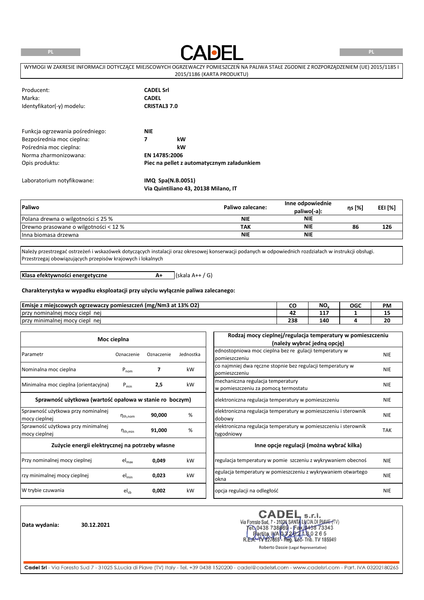**PL**



**PL**

| WYMOGI W ZAKRESIE INFORMACJI DOTYCZACE MIEJSCOWYCH OGRZEWACZY POMIESZCZEŃ NA PALIWA STAŁE ZGODNIE Z ROZPORZADZENIEM (UE) 2015/1185 I |
|--------------------------------------------------------------------------------------------------------------------------------------|
| 2015/1186 (KARTA PRODUKTU)                                                                                                           |

| Producent:<br>Marka:<br>Identyfikator(-y) modelu:                                                                                 | <b>CADEL Srl</b><br><b>CADEL</b><br><b>CRISTAL3 7.0</b>                                    |
|-----------------------------------------------------------------------------------------------------------------------------------|--------------------------------------------------------------------------------------------|
| Funkcja ogrzewania pośredniego:<br>Bezpośrednia moc cieplna:<br>Pośrednia moc cieplna:<br>Norma zharmonizowana:<br>Opis produktu: | <b>NIE</b><br>7<br>kW<br>kW<br>EN 14785:2006<br>Piec na pellet z automatycznym załadunkiem |
| Laboratorium notyfikowane:                                                                                                        | IMQ Spa(N.B.0051)<br>Via Quintiliano 43, 20138 Milano, IT                                  |

| Paliwo                                  | Paliwo zalecane: | Inne odpowiednie<br>paliwo(-a): | ηs [%] | EEI [%] |
|-----------------------------------------|------------------|---------------------------------|--------|---------|
| Polana drewna o wilgotności $\leq$ 25 % | <b>NIE</b>       | <b>NIE</b>                      |        |         |
| Drewno prasowane o wilgotności < 12 %   | ΤΑΚ              | NIE                             | 86     | 126     |
| Inna biomasa drzewna                    | <b>NIE</b>       | <b>NIE</b>                      |        |         |

Należy przestrzegać ostrzeżeń i wskazówek dotyczących instalacji oraz okresowej konserwacji podanych w odpowiednich rozdziałach w instrukcji obsługi. Przestrzegaj obowiązujących przepisów krajowych i lokalnych

**A+** (skala A++ / G)

**Klasa efektywności energetyczne**

# **Charakterystyka w wypadku eksploatacji przy użyciu wyłącznie paliwa zalecanego:**

| <b>Emisje</b><br>`z miejscowych ogrzewaczy pomieszczeń (mg/Nm3 at 13% O2) |            | NO. | OGC | <b>PM</b> |
|---------------------------------------------------------------------------|------------|-----|-----|-----------|
| <sub>/</sub> nominalnei<br>przy<br>i mocy ciepl<br>ne                     |            | .   |     |           |
| Jprzy minimalnej mocy ciepl<br>nei                                        | 330<br>25c | 40۔ |     | 20        |

|                                                         | Moc cieplna            |            |           | Rodzaj mocy cieplnej/regulacja temperatury w pomieszczeniu      |            |
|---------------------------------------------------------|------------------------|------------|-----------|-----------------------------------------------------------------|------------|
|                                                         |                        |            |           | (należy wybrać jedną opcję)                                     |            |
| Parametr                                                | Oznaczenie             | Oznaczenie | Jednostka | ednostopniowa moc cieplna bez re gulacji temperatury w          | <b>NIE</b> |
|                                                         |                        |            |           | pomieszczeniu                                                   |            |
| Nominalna moc cieplna                                   | $P_{nom}$              | 7          | kW        | co najmniej dwa ręczne stopnie bez regulacji temperatury w      | <b>NIE</b> |
|                                                         |                        |            |           | pomieszczeniu                                                   |            |
| Minimalna moc cieplna (orientacyjna)                    |                        |            |           | mechaniczna regulacja temperatury                               |            |
|                                                         | $P_{min}$              | 2,5        | kW        | w pomieszczeniu za pomocą termostatu                            | <b>NIE</b> |
| Sprawność użytkowa (wartość opałowa w stanie ro boczym) |                        |            |           | elektroniczna regulacja temperatury w pomieszczeniu             | <b>NIE</b> |
| Sprawność użytkowa przy nominalnej                      |                        |            |           | elektroniczna regulacja temperatury w pomieszczeniu i sterownik | <b>NIE</b> |
| mocy cieplnej                                           | $n_{\text{th}$ , nom   | 90,000     | %         | dobowy                                                          |            |
| Sprawność użytkowa przy minimalnej                      |                        | 91,000     | %         | elektroniczna regulacja temperatury w pomieszczeniu i sterownik | <b>TAK</b> |
| mocy cieplnej                                           | $\eta_{\text{th,min}}$ |            |           | tygodniowy                                                      |            |
| Zużycie energii elektrycznej na potrzeby własne         |                        |            |           | Inne opcje regulacji (można wybrać kilka)                       |            |
| Przy nominalnej mocy cieplnej                           | $el_{max}$             | 0,049      | kW        | regulacja temperatury w pomie szczeniu z wykrywaniem obecnoś    | <b>NIE</b> |
| rzy minimalnej mocy cieplnej                            | $el_{min}$             | 0,023      | kW        | egulacja temperatury w pomieszczeniu z wykrywaniem otwartego    | <b>NIE</b> |
|                                                         |                        |            |           | okna                                                            |            |
| W trybie czuwania                                       | $el_{sb}$              | 0,002      | kW        | opcja regulacji na odległość                                    | <b>NIE</b> |

**Data wydania: 30.12.2021**

CADEL CADEL s.r.l.<br>Via Foresto Sud, 7 - 31026 SANTA LUCIA DI PIAVE (TV)<br>Fen 0438 738669 - Fax 0438 73343<br>REA-1V227665- Reg. 688- Trib. TV 185949

Roberto Dassie (Legal Representative)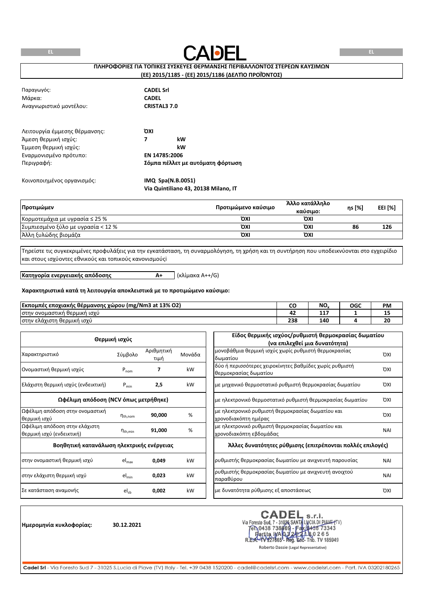

# **ΠΛΗΡΟΦΟΡΙΕΣ ΓΙΑ ΤΟΠΙΚΕΣ ΣΥΣΚΕΥΕΣ ΘΕΡΜΑΝΣΗΣ ΠΕΡΙΒΑΛΛΟΝΤΟΣ ΣΤΕΡΕΩΝ ΚΑΥΣΙΜΩΝ**

# **(ΕΕ) 2015/1185 - (ΕΕ) 2015/1186 (ΔΕΛΤΊΟ ΠΡΟΪΌΝΤΟΣ)**

| Παραγωγός:<br>Μάρκα:          | <b>CADEL Srl</b><br><b>CADEL</b>     |
|-------------------------------|--------------------------------------|
|                               |                                      |
| Αναγνωριστικό μοντέλου:       | <b>CRISTAL3 7.0</b>                  |
| Λειτουργία έμμεσης θέρμανσης: | ΌΧΙ                                  |
| Άμεση θερμική ισχύς:          | 7<br>kW                              |
| Έμμεση θερμική ισχύς:         | kW                                   |
| Εναρμονισμένο πρότυπο:        | EN 14785:2006                        |
| Περιγραφή:                    | Σόμπα πέλλετ με αυτόματη φόρτωση     |
| Κοινοποιημένος οργανισμός:    | IMQ Spa(N.B.0051)                    |
|                               | Via Quintiliano 43, 20138 Milano, IT |

| Προτιμώμεν                         | Προτιμώμενο καύσιμο | Άλλο κατάλληλο<br>καύσιμο: | ns [%] | EEI [%] |
|------------------------------------|---------------------|----------------------------|--------|---------|
| Κορμοτεμάχια με υγρασία ≤ 25 %     | ΌΧΙ                 | ΌΧΙ                        |        |         |
| Συμπιεσμένο ξύλο με υγρασία < 12 % | ΌΧΙ                 | ΌΧΙ                        | 86     | 126     |
| Άλλη ξυλώδης βιομάζα               | ΌΧΙ                 | ΌΧΙ                        |        |         |

Τηρείστε τις συγκεκριμένες προφυλάξεις για την εγκατάσταση, τη συναρμολόγηση, τη χρήση και τη συντήρηση που υποδεικνύονται στο εγχειρίδιο και στους ισχύοντες εθνικούς και τοπικούς κανονισμούςi

**Κατηγορία ενεργειακής απόδοσης**

**A+** (κλίμακα A++/G)

#### **Χαρακτηριστικά κατά τη λειτουργία αποκλειστικά με το προτιμώμενο καύσιμο:**

| Εκπομπές<br>mg/Nm3 at 13% O2) (mg<br>ς εποχιακής θέρμανσης χώρου ∤<br>. . |            | NO.       | OGC | <b>PM</b> |
|---------------------------------------------------------------------------|------------|-----------|-----|-----------|
| <sup>,</sup> ονομαστική<br>1 ισχυ<br>ή θερμική<br>στην                    | --         | - -<br>-- |     | --        |
| ι θερμική ισχύ<br> στην ελάχιστη                                          | 330<br>236 | 140       |     | 20        |

|                                                            | Θερμική ισχύς       |                    |        | Είδος θερμικής ισχύος/ρυθμιστή θερμοκρασίας δωματίου                             |            |
|------------------------------------------------------------|---------------------|--------------------|--------|----------------------------------------------------------------------------------|------------|
|                                                            |                     |                    |        | (να επιλεχθεί μια δυνατότητα)                                                    |            |
| Χαρακτηριστικό                                             | Σύμβολο             | Αριθμητική<br>τιμή | Μονάδα | μονοβάθμια θερμική ισχύς χωρίς ρυθμιστή θερμοκρασίας<br>δωματίου                 | <b>OXI</b> |
| Ονομαστική θερμική ισχύς                                   | $P_{nom}$           |                    | kW     | δύο ή περισσότερες χειροκίνητες βαθμίδες χωρίς ρυθμιστή<br>θερμοκρασίας δωματίου | <b>OXI</b> |
| Ελάχιστη θερμική ισχύς (ενδεικτική)                        | $P_{min}$           | 2,5                | kW     | με μηχανικό θερμοστατικό ρυθμιστή θερμοκρασίας δωματίου                          | <b>OXI</b> |
| Ωφέλιμη απόδοση (NCV όπως μετρήθηκε)                       |                     |                    |        | με ηλεκτρονικό θερμοστατικό ρυθμιστή θερμοκρασίας δωματίου                       | <b>OXI</b> |
| Ωφέλιμη απόδοση στην ονομαστική<br>θερμική ισχύ            | $n_{th,nom}$        | 90,000             | %      | με ηλεκτρονικό ρυθμιστή θερμοκρασίας δωματίου και<br>χρονοδιακόπτη ημέρας        | <b>OXI</b> |
| Ωφέλιμη απόδοση στην ελάχιστη<br>θερμική ισχύ (ενδεικτική) | $n_{\text{th,min}}$ | 91,000             | %      | με ηλεκτρονικό ρυθμιστή θερμοκρασίας δωματίου και<br>χρονοδιακόπτη εβδομάδας     | <b>NAI</b> |
| Βοηθητική κατανάλωση ηλεκτρικής ενέργειας                  |                     |                    |        | Άλλες δυνατότητες ρύθμισης (επιτρέπονται πολλές επιλογές)                        |            |
| στην ονομαστική θερμική ισχύ                               | $el_{max}$          | 0,049              | kW     | ρυθμιστής θερμοκρασίας δωματίου με ανιχνευτή παρουσίας                           | <b>NAI</b> |
| στην ελάχιστη θερμική ισχύ                                 | $el_{min}$          | 0,023              | kW     | ρυθμιστής θερμοκρασίας δωματίου με ανιχνευτή ανοιχτού<br>παραθύρου               | <b>NAI</b> |
| Σε κατάσταση αναμονής                                      | $el_{sb}$           | 0,002              | kW     | με δυνατότητα ρύθμισης εξ αποστάσεως                                             | <b>OXI</b> |

**Ημερομηνία κυκλοφορίας: 30.12.2021**

CADEL S.r.I.<br>Via Foresto Sud, 7 - 31026 SANTA LUCIA DI PIAVE (TV)<br>FR.0438 738669 - Fax (0438 73343<br>R.E.A.- 1V227665 - Reg. 602- Trib. TV 185949<br>Roberto Dassie (Legal Representative) **CADEL**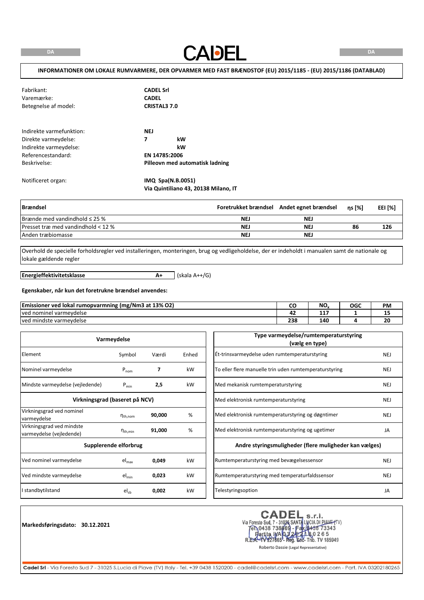**CADEL** 

# **INFORMATIONER OM LOKALE RUMVARMERE, DER OPVARMER MED FAST BRÆNDSTOF (EU) 2015/1185 - (EU) 2015/1186 (DATABLAD)**

| Fabrikant:<br>Varemærke:<br>Betegnelse af model:                                                                 | <b>CADEL Srl</b><br><b>CADEL</b><br><b>CRISTAL3 7.0</b>                         |
|------------------------------------------------------------------------------------------------------------------|---------------------------------------------------------------------------------|
| Indirekte varmefunktion:<br>Direkte varmeydelse:<br>Indirekte varmeydelse:<br>Referencestandard:<br>Beskrivelse: | <b>NEJ</b><br>7<br>kW<br>kW<br>EN 14785:2006<br>Pilleovn med automatisk ladning |
| Notificeret organ:                                                                                               | IMQ Spa(N.B.0051)                                                               |

| <b>Brændsel</b>                       |            | Foretrukket brændsel Andet egnet brændsel | $ns$ [%] | EEI [%] |
|---------------------------------------|------------|-------------------------------------------|----------|---------|
| $B$ rænde med vandindhold $\leq$ 25 % | <b>NEJ</b> | <b>NEJ</b>                                |          |         |
| Presset træ med vandindhold < 12 $%$  | <b>NEJ</b> | NE.                                       | 86       | 126     |
| Anden træbiomasse                     | <b>NEJ</b> | NEJ                                       |          |         |

Overhold de specielle forholdsregler ved installeringen, monteringen, brug og vedligeholdelse, der er indeholdt i manualen samt de nationale og lokale gældende regler

**Energieffektivitetsklasse**

**A+** (skala A++/G)

**Via Quintiliano 43, 20138 Milano, IT**

#### **Egenskaber, når kun det foretrukne brændsel anvendes:**

| (mg/Nm3 at 13% O2)<br><b>Emissioner ved</b><br>J lokal rumopvarmning<br> |            | <b>N<sub>C</sub></b><br>טיו | OGC | <b>PM</b> |
|--------------------------------------------------------------------------|------------|-----------------------------|-----|-----------|
| l varmevdelse<br>Tved nominel                                            |            | ---<br>.                    |     | --        |
| ved mindste varmeydelse                                                  | 330<br>250 | 140                         |     | ZU        |

| Varmeydelse                                           |                                |        |       |
|-------------------------------------------------------|--------------------------------|--------|-------|
| Element                                               | Symbol                         | Værdi  | Enhed |
| Nominel varmeydelse                                   | $P_{nom}$                      | 7      | kW    |
| Mindste varmeydelse (vejledende)                      | $P_{min}$                      | 2,5    | kW    |
|                                                       | Virkningsgrad (baseret på NCV) |        |       |
| Virkningsgrad ved nominel<br>varmeydelse              | $n_{\text{th}$ , nom           | 90,000 | %     |
| Virkningsgrad ved mindste<br>varmeydelse (vejledende) | $\eta_{\text{th,min}}$         | 91,000 | %     |
|                                                       | Supplerende elforbrug          |        |       |
| Ved nominel varmeydelse                               | $el_{max}$                     | 0,049  | kW    |
| Ved mindste varmeydelse                               | $el_{min}$                     | 0,023  | kW    |
| I standbytilstand                                     | $el_{sb}$                      | 0,002  | kW    |

**Markedsføringsdato: 30.12.2021**

CADEL S.r.I.<br>Via Foresto Sud, 7 - 31026 SANTA LUCIA DI PIAVE (TV)<br>FR.0438 738669 - Fax (0438 73343<br>R.E.A.- 1V227665 - Reg. 602- Trib. TV 185949<br>Roberto Dassie (Legal Representative) **CADEL**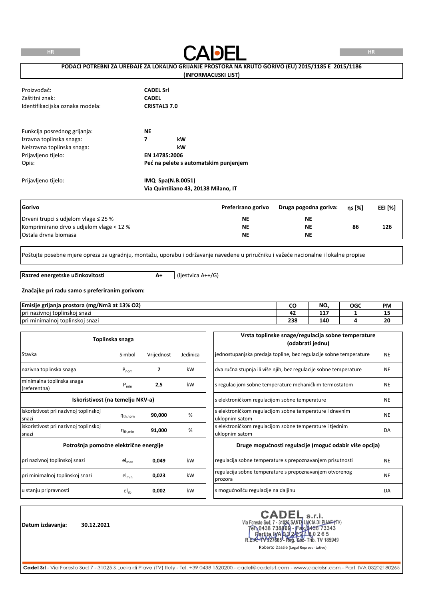

### **PODACI POTREBNI ZA UREĐAJE ZA LOKALNO GRIJANJE PROSTORA NA KRUTO GORIVO (EU) 2015/1185 E 2015/1186**

#### **(INFORMACIJSKI LIST)**

| Proizvođač:<br>Zaštitni znak:<br>Identifikacijska oznaka modela:                                                       | <b>CADEL Srl</b><br><b>CADEL</b><br><b>CRISTAL3 7.0</b>                              |
|------------------------------------------------------------------------------------------------------------------------|--------------------------------------------------------------------------------------|
| Funkcija posrednog grijanja:<br>Izravna toplinska snaga:<br>Neizravna toplinska snaga:<br>Prijavljeno tijelo:<br>Opis: | <b>NE</b><br>7<br>kW<br>kW<br>EN 14785:2006<br>Peć na pelete s automatskim punjenjem |
| Prijavljeno tijelo:                                                                                                    | IMQ Spa(N.B.0051)<br>Via Quintiliano 43, 20138 Milano, IT                            |

| Gorivo                                    | Preferirano gorivo | Druga pogodna goriva: | ns [%] | <b>EEI [%]</b> |
|-------------------------------------------|--------------------|-----------------------|--------|----------------|
| Drveni trupci s udjelom vlage $\leq$ 25 % | ΝE                 | NE                    |        |                |
| Komprimirano drvo s udjelom vlage < 12 %  | ΝE                 | <b>NE</b>             | 86     | 126            |
| Ostala drvna biomasa                      | ΝE                 | <b>NE</b>             |        |                |

Poštujte posebne mjere opreza za ugradnju, montažu, uporabu i održavanje navedene u priručniku i važeće nacionalne i lokalne propise

**Razred energetske učinkovitosti**

**A+** (ljestvica A++/G)

#### **Značajke pri radu samo s preferiranim gorivom:**

| <br>Emisije<br>ਾਂa prostora (mg/Nm3 at 13% O2)<br>grijanja |            | NO.      | OGC | <b>PM</b> |
|------------------------------------------------------------|------------|----------|-----|-----------|
| <br>'i nazivnoi toplinskoi snazi<br>l pri                  | - -        | .<br>. . |     | --        |
| <br>'i minimalnoi<br>i toplinskoj snazi<br>pr'             | ววด<br>237 | 140      |     | 20        |

|                                                | Toplinska snaga        |            |          | Vrsta toplinske snage/regulacija sobne temperature<br>(odabrati jednu)    |           |
|------------------------------------------------|------------------------|------------|----------|---------------------------------------------------------------------------|-----------|
| Stavka                                         | Simbol                 | Vrijednost | Jedinica | jednostupanjska predaja topline, bez regulacije sobne temperature         | <b>NE</b> |
| nazivna toplinska snaga                        | $P_{nom}$              | 7          | kW       | dva ručna stupnja ili više njih, bez regulacije sobne temperature         | <b>NE</b> |
| minimalna toplinska snaga<br>(referentna)      | $P_{min}$              | 2,5        | kW       | s regulacijom sobne temperature mehaničkim termostatom                    | <b>NE</b> |
| Iskoristivost (na temelju NKV-a)               |                        |            |          | s elektroničkom regulacijom sobne temperature                             | <b>NE</b> |
| iskoristivost pri nazivnoj toplinskoj<br>snazi | $n_{th,nom}$           | 90,000     | %        | s elektroničkom regulacijom sobne temperature i dnevnim<br>uklopnim satom | <b>NE</b> |
| iskoristivost pri nazivnoj toplinskoj<br>snazi | $\eta_{\text{th,min}}$ | 91,000     | %        | s elektroničkom regulacijom sobne temperature i tjednim<br>uklopnim satom | DA        |
| Potrošnja pomoćne električne energije          |                        |            |          | Druge mogućnosti regulacije (moguć odabir više opcija)                    |           |
| pri nazivnoj toplinskoj snazi                  | $el_{max}$             | 0,049      | kW       | regulacija sobne temperature s prepoznavanjem prisutnosti                 | <b>NE</b> |
| pri minimalnoj toplinskoj snazi                | $el_{min}$             | 0,023      | kW       | regulacija sobne temperature s prepoznavanjem otvorenog<br>prozora        | <b>NE</b> |
| u stanju pripravnosti                          | $el_{sb}$              | 0,002      | kW       | s mogućnošću regulacije na daljinu                                        | DA        |

**Datum izdavanja: 30.12.2021**

CADEL S.r.I.<br>Via Foresto Sud, 7 - 31026 SANTA LUCIA DI PIAVE (TV)<br>FR.0438 738669 - Fax (0438 73343<br>R.E.A.- 1V227665 - Reg. 602- Trib. TV 185949<br>Roberto Dassie (Legal Representative) **CADEL**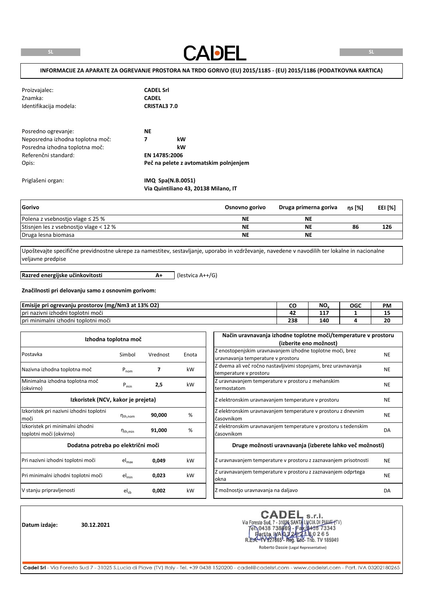**CADEL** 

### **INFORMACIJE ZA APARATE ZA OGREVANJE PROSTORA NA TRDO GORIVO (EU) 2015/1185 - (EU) 2015/1186 (PODATKOVNA KARTICA)**

| Proizvajalec:<br>Znamka:<br>Identifikacija modela: | <b>CADEL Srl</b><br><b>CADEL</b><br><b>CRISTAL3 7.0</b> |
|----------------------------------------------------|---------------------------------------------------------|
| Posredno ogrevanje:                                | <b>NE</b>                                               |
| Neposredna izhodna toplotna moč:                   | kW<br>7                                                 |
| Posredna izhodna toplotna moč:                     | kW                                                      |
| Referenčni standard:                               | EN 14785:2006                                           |
| Opis:                                              | Peč na pelete z avtomatskim polnjenjem                  |
| Priglašeni organ:                                  | IMQ Spa(N.B.0051)                                       |

| Gorivo                                 | Osnovno gorivo | Druga primerna goriva | ns [%] | <b>EEI [%]</b> |
|----------------------------------------|----------------|-----------------------|--------|----------------|
| Polena z vsebnostjo vlage $\leq$ 25 %  | <b>NE</b>      | ΝE                    |        |                |
| Stisnien les z vsebnostjo vlage < 12 % | <b>NE</b>      | ΝE                    | 86     | 126            |
| Druga lesna biomasa                    | <b>NE</b>      | ΝE                    |        |                |

Upoštevajte specifične previdnostne ukrepe za namestitev, sestavljanje, uporabo in vzdrževanje, navedene v navodilih ter lokalne in nacionalne veljavne predpise

**Razred energijske učinkovitosti**

**A+** (lestvica A++/G)

**Via Quintiliano 43, 20138 Milano, IT**

# **Značilnosti pri delovanju samo z osnovnim gorivom:**

| $\cdots$<br>/ (mg/Nm3 at 13% O2)<br>-<br>Emisije<br>: pri ogrevanju<br>، prostorov |            | NO.     | OGC | <b>PM</b> |
|------------------------------------------------------------------------------------|------------|---------|-----|-----------|
| $\sim$<br>i nazivni izhodni toplotni moči<br>pri                                   |            | .<br>л. |     | --        |
| $\cdots$<br>Tori minimalni izhodni toplotni moći                                   | 330<br>250 | 140     |     | 20        |

|                                                             | Izhodna toplotna moč |          |       | Način uravnavanja izhodne toplotne moči/temperature v prostoru<br>(izberite eno možnost)        |           |
|-------------------------------------------------------------|----------------------|----------|-------|-------------------------------------------------------------------------------------------------|-----------|
| Postavka                                                    | Simbol               | Vrednost | Enota | Z enostopenjskim uravnavanjem izhodne toplotne moči, brez<br>uravnavanja temperature v prostoru | <b>NE</b> |
| Nazivna izhodna toplotna moč                                | $P_{nom}$            | 7        | kW    | Z dvema ali več ročno nastavljivimi stopnjami, brez uravnavanja<br>temperature v prostoru       | <b>NE</b> |
| Minimalna izhodna toplotna moč<br>(okvirno)                 | $P_{min}$            | 2,5      | kW    | Z uravnavanjem temperature v prostoru z mehanskim<br>termostatom                                | <b>NE</b> |
| Izkoristek (NCV, kakor je prejeta)                          |                      |          |       | Z elektronskim uravnavanjem temperature v prostoru                                              | <b>NE</b> |
| Izkoristek pri nazivni izhodni toplotni<br>moči             | $n_{th,nom}$         | 90,000   | %     | Z elektronskim uravnavanjem temperature v prostoru z dnevnim<br>časovnikom                      | <b>NE</b> |
| Izkoristek pri minimalni izhodni<br>toplotni moči (okvirno) | $n_{\text{th,min}}$  | 91,000   | %     | Z elektronskim uravnavanjem temperature v prostoru s tedenskim<br>časovnikom                    | DA        |
| Dodatna potreba po električni moči                          |                      |          |       | Druge možnosti uravnavanja (izberete lahko več možnosti)                                        |           |
| Pri nazivni izhodni toplotni moči                           | $el_{max}$           | 0,049    | kW    | Z uravnavanjem temperature v prostoru z zaznavanjem prisotnosti                                 | <b>NE</b> |
| Pri minimalni izhodni toplotni moči                         | $el_{min}$           | 0,023    | kW    | Z uravnavanjem temperature v prostoru z zaznavanjem odprtega<br>okna                            | <b>NE</b> |
| V stanju pripravljenosti                                    | $el_{sb}$            | 0,002    | kW    | Z možnostjo uravnavanja na daljavo                                                              | DA        |

**Datum izdaje: 30.12.2021**